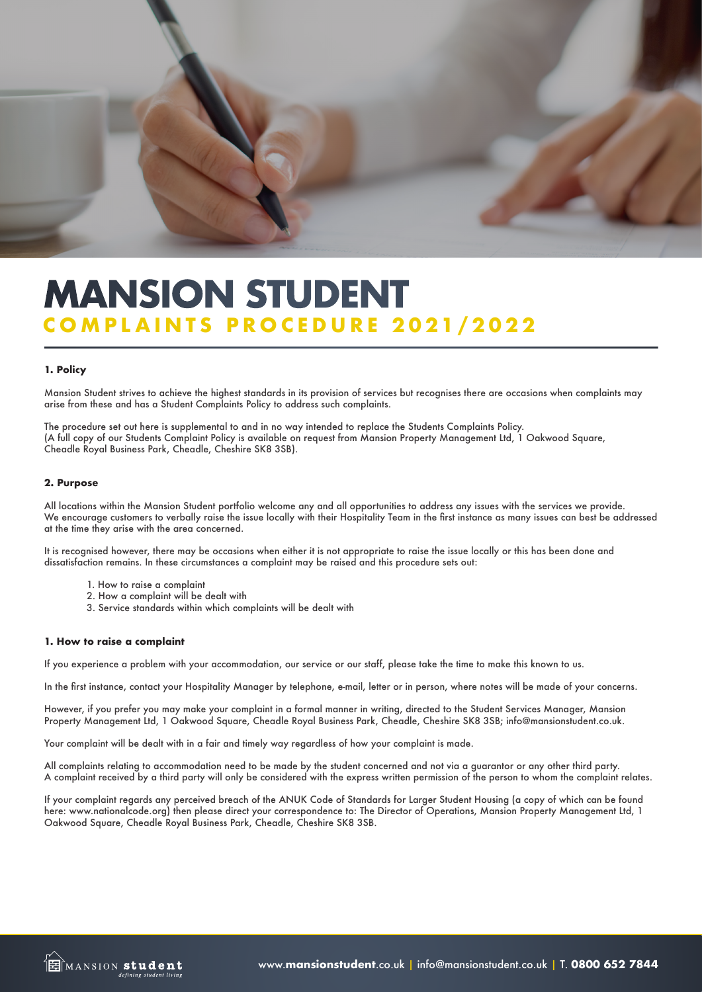

# **COMPLAINTS PROCEDURE 2021/2022 MANSION STUDENT**

## **1. Policy**

Mansion Student strives to achieve the highest standards in its provision of services but recognises there are occasions when complaints may arise from these and has a Student Complaints Policy to address such complaints.

The procedure set out here is supplemental to and in no way intended to replace the Students Complaints Policy. (A full copy of our Students Complaint Policy is available on request from Mansion Property Management Ltd, 1 Oakwood Square, Cheadle Royal Business Park, Cheadle, Cheshire SK8 3SB).

## **2. Purpose**

All locations within the Mansion Student portfolio welcome any and all opportunities to address any issues with the services we provide. We encourage customers to verbally raise the issue locally with their Hospitality Team in the first instance as many issues can best be addressed at the time they arise with the area concerned.

It is recognised however, there may be occasions when either it is not appropriate to raise the issue locally or this has been done and dissatisfaction remains. In these circumstances a complaint may be raised and this procedure sets out:

- 1. How to raise a complaint
- 2. How a complaint will be dealt with
- 3. Service standards within which complaints will be dealt with

#### **1. How to raise a complaint**

If you experience a problem with your accommodation, our service or our staff, please take the time to make this known to us.

In the first instance, contact your Hospitality Manager by telephone, e-mail, letter or in person, where notes will be made of your concerns.

However, if you prefer you may make your complaint in a formal manner in writing, directed to the Student Services Manager, Mansion Property Management Ltd, 1 Oakwood Square, Cheadle Royal Business Park, Cheadle, Cheshire SK8 3SB; info@mansionstudent.co.uk.

Your complaint will be dealt with in a fair and timely way regardless of how your complaint is made.

All complaints relating to accommodation need to be made by the student concerned and not via a guarantor or any other third party. A complaint received by a third party will only be considered with the express written permission of the person to whom the complaint relates.

If your complaint regards any perceived breach of the ANUK Code of Standards for Larger Student Housing (a copy of which can be found here: www.nationalcode.org) then please direct your correspondence to: The Director of Operations, Mansion Property Management Ltd, 1 Oakwood Square, Cheadle Royal Business Park, Cheadle, Cheshire SK8 3SB.